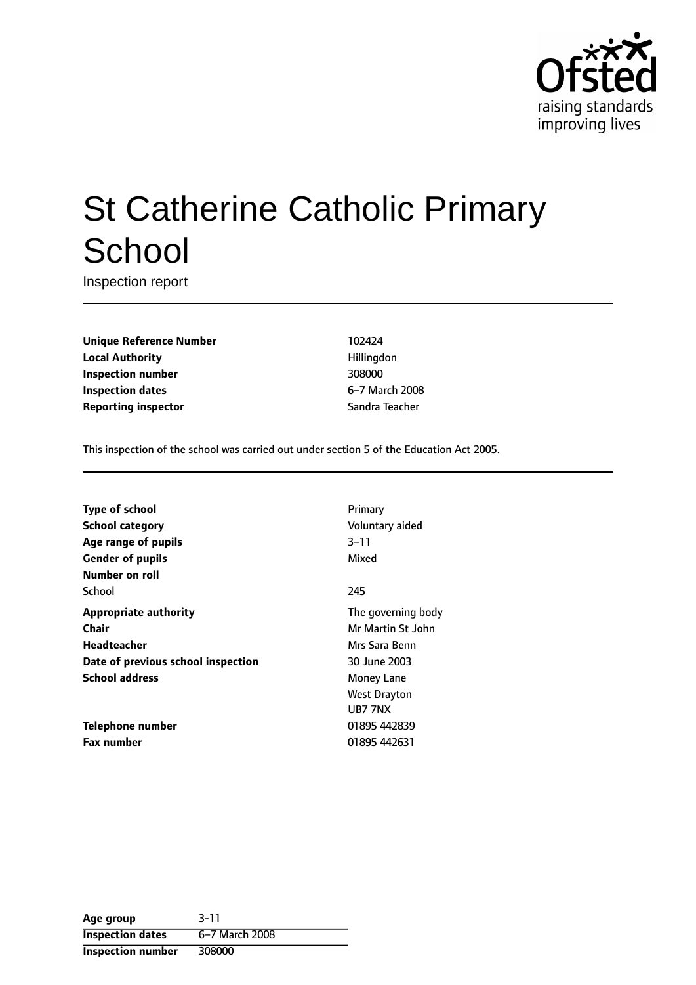

# St Catherine Catholic Primary **School**

Inspection report

**Unique Reference Number** 102424 **Local Authority Hillingdon Inspection number** 308000 **Inspection dates** 6-7 March 2008 **Reporting inspector** Sandra Teacher

This inspection of the school was carried out under section 5 of the Education Act 2005.

| <b>Type of school</b>              | Primary            |
|------------------------------------|--------------------|
| School category                    | Voluntary aided    |
| Age range of pupils                | $3 - 11$           |
| <b>Gender of pupils</b>            | Mixed              |
| Number on roll                     |                    |
| School                             | 245                |
| <b>Appropriate authority</b>       | The governing body |
| Chair                              | Mr Martin St John  |
| Headteacher                        | Mrs Sara Benn      |
| Date of previous school inspection | 30 June 2003       |
| <b>School address</b>              | Money Lane         |
|                                    | West Drayton       |
|                                    | UB7 7NX            |
| Telephone number                   | 01895 442839       |
| <b>Fax number</b>                  | 01895 442631       |
|                                    |                    |

| Age group                | $3 - 11$       |
|--------------------------|----------------|
| <b>Inspection dates</b>  | 6-7 March 2008 |
| <b>Inspection number</b> | 308000         |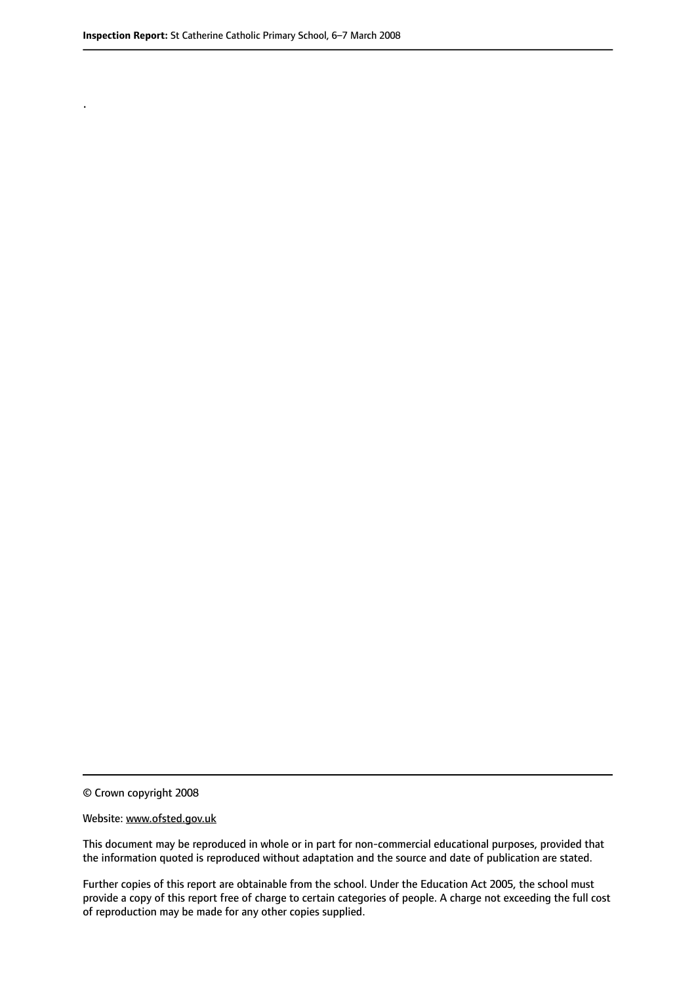.

© Crown copyright 2008

#### Website: www.ofsted.gov.uk

This document may be reproduced in whole or in part for non-commercial educational purposes, provided that the information quoted is reproduced without adaptation and the source and date of publication are stated.

Further copies of this report are obtainable from the school. Under the Education Act 2005, the school must provide a copy of this report free of charge to certain categories of people. A charge not exceeding the full cost of reproduction may be made for any other copies supplied.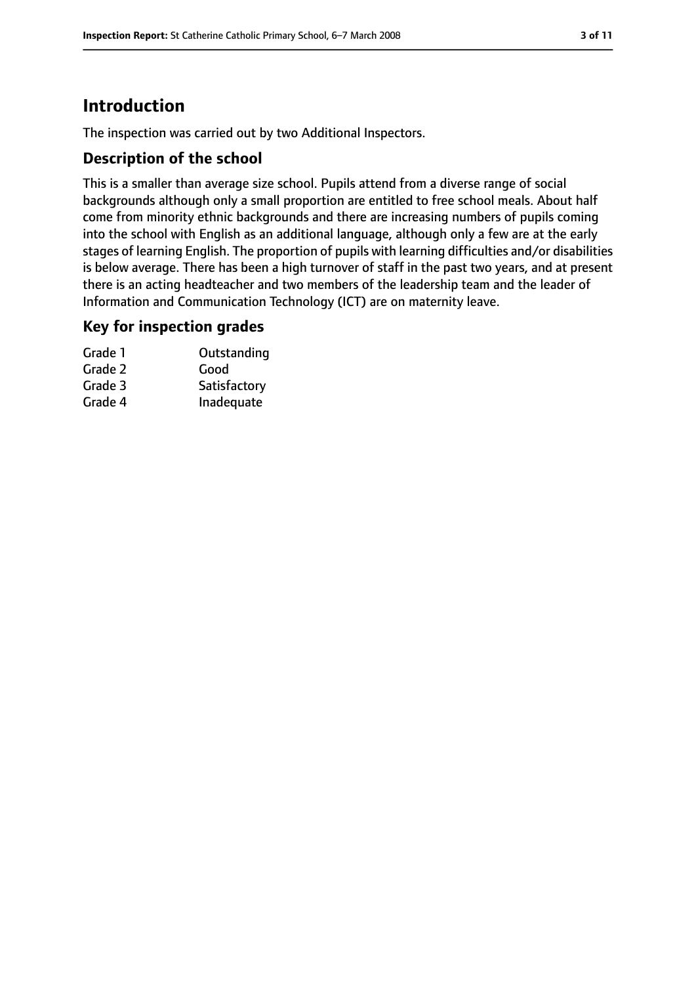# **Introduction**

The inspection was carried out by two Additional Inspectors.

## **Description of the school**

This is a smaller than average size school. Pupils attend from a diverse range of social backgrounds although only a small proportion are entitled to free school meals. About half come from minority ethnic backgrounds and there are increasing numbers of pupils coming into the school with English as an additional language, although only a few are at the early stages of learning English. The proportion of pupils with learning difficulties and/or disabilities is below average. There has been a high turnover of staff in the past two years, and at present there is an acting headteacher and two members of the leadership team and the leader of Information and Communication Technology (ICT) are on maternity leave.

## **Key for inspection grades**

| Grade 1 | Outstanding  |
|---------|--------------|
| Grade 2 | Good         |
| Grade 3 | Satisfactory |
| Grade 4 | Inadequate   |
|         |              |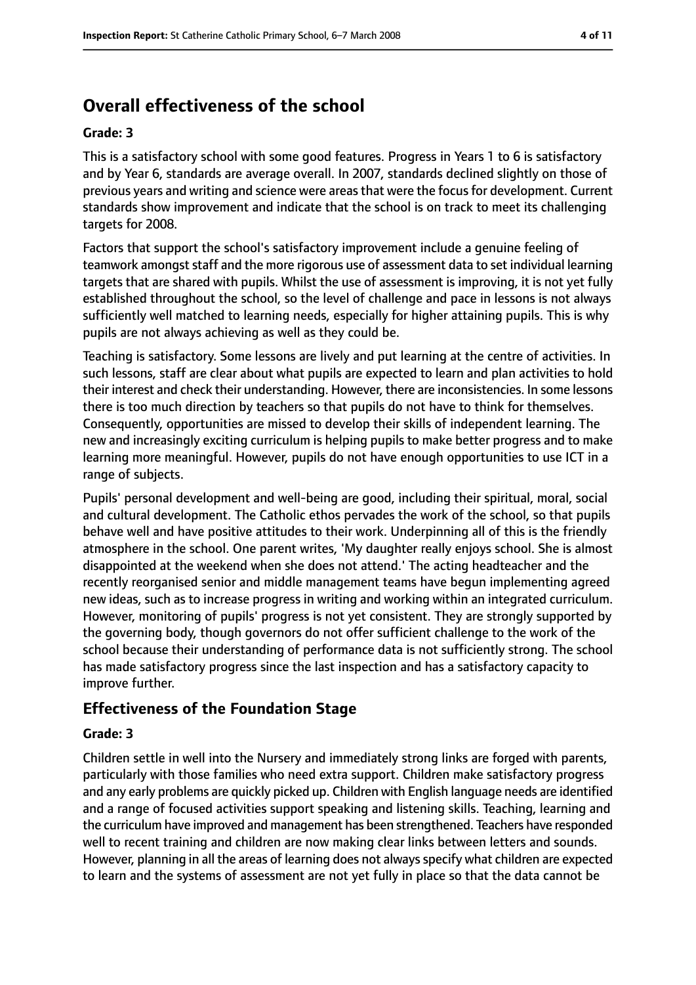# **Overall effectiveness of the school**

#### **Grade: 3**

This is a satisfactory school with some good features. Progress in Years 1 to 6 is satisfactory and by Year 6, standards are average overall. In 2007, standards declined slightly on those of previous years and writing and science were areas that were the focus for development. Current standards show improvement and indicate that the school is on track to meet its challenging targets for 2008.

Factors that support the school's satisfactory improvement include a genuine feeling of teamwork amongst staff and the more rigorous use of assessment data to set individual learning targets that are shared with pupils. Whilst the use of assessment is improving, it is not yet fully established throughout the school, so the level of challenge and pace in lessons is not always sufficiently well matched to learning needs, especially for higher attaining pupils. This is why pupils are not always achieving as well as they could be.

Teaching is satisfactory. Some lessons are lively and put learning at the centre of activities. In such lessons, staff are clear about what pupils are expected to learn and plan activities to hold their interest and check their understanding. However, there are inconsistencies. In some lessons there is too much direction by teachers so that pupils do not have to think for themselves. Consequently, opportunities are missed to develop their skills of independent learning. The new and increasingly exciting curriculum is helping pupils to make better progress and to make learning more meaningful. However, pupils do not have enough opportunities to use ICT in a range of subjects.

Pupils' personal development and well-being are good, including their spiritual, moral, social and cultural development. The Catholic ethos pervades the work of the school, so that pupils behave well and have positive attitudes to their work. Underpinning all of this is the friendly atmosphere in the school. One parent writes, 'My daughter really enjoys school. She is almost disappointed at the weekend when she does not attend.' The acting headteacher and the recently reorganised senior and middle management teams have begun implementing agreed new ideas, such as to increase progress in writing and working within an integrated curriculum. However, monitoring of pupils' progress is not yet consistent. They are strongly supported by the governing body, though governors do not offer sufficient challenge to the work of the school because their understanding of performance data is not sufficiently strong. The school has made satisfactory progress since the last inspection and has a satisfactory capacity to improve further.

## **Effectiveness of the Foundation Stage**

#### **Grade: 3**

Children settle in well into the Nursery and immediately strong links are forged with parents, particularly with those families who need extra support. Children make satisfactory progress and any early problems are quickly picked up. Children with English language needs are identified and a range of focused activities support speaking and listening skills. Teaching, learning and the curriculum have improved and management has been strengthened. Teachers have responded well to recent training and children are now making clear links between letters and sounds. However, planning in all the areas of learning does not always specify what children are expected to learn and the systems of assessment are not yet fully in place so that the data cannot be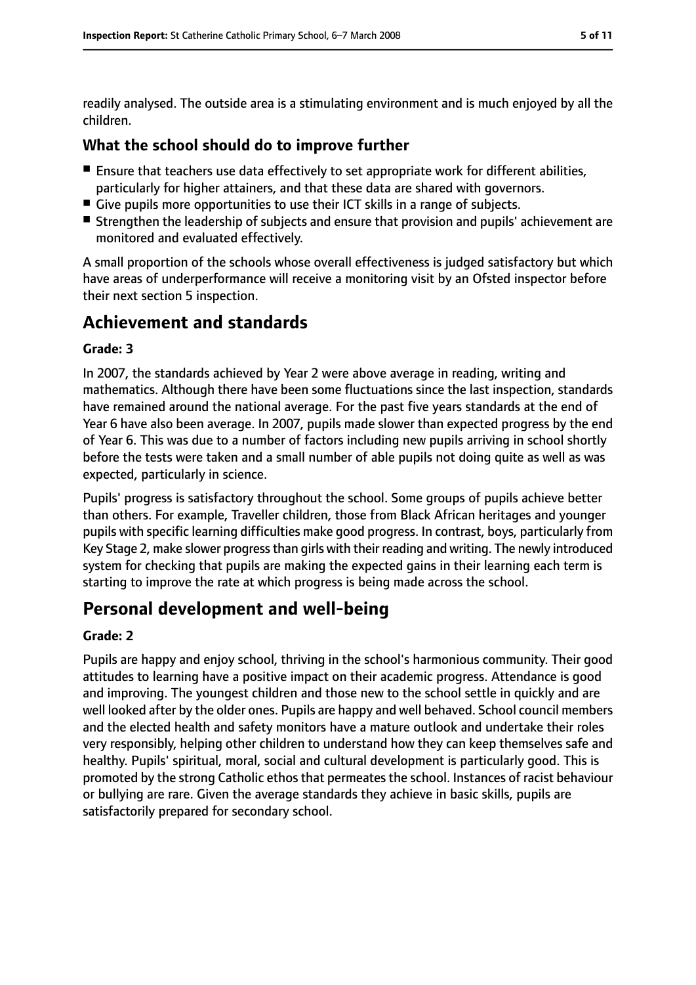readily analysed. The outside area is a stimulating environment and is much enjoyed by all the children.

## **What the school should do to improve further**

- Ensure that teachers use data effectively to set appropriate work for different abilities, particularly for higher attainers, and that these data are shared with governors.
- Give pupils more opportunities to use their ICT skills in a range of subjects.
- Strengthen the leadership of subjects and ensure that provision and pupils' achievement are monitored and evaluated effectively.

A small proportion of the schools whose overall effectiveness is judged satisfactory but which have areas of underperformance will receive a monitoring visit by an Ofsted inspector before their next section 5 inspection.

# **Achievement and standards**

#### **Grade: 3**

In 2007, the standards achieved by Year 2 were above average in reading, writing and mathematics. Although there have been some fluctuations since the last inspection, standards have remained around the national average. For the past five years standards at the end of Year 6 have also been average. In 2007, pupils made slower than expected progress by the end of Year 6. This was due to a number of factors including new pupils arriving in school shortly before the tests were taken and a small number of able pupils not doing quite as well as was expected, particularly in science.

Pupils' progress is satisfactory throughout the school. Some groups of pupils achieve better than others. For example, Traveller children, those from Black African heritages and younger pupils with specific learning difficulties make good progress. In contrast, boys, particularly from Key Stage 2, make slower progressthan girls with their reading and writing. The newly introduced system for checking that pupils are making the expected gains in their learning each term is starting to improve the rate at which progress is being made across the school.

# **Personal development and well-being**

#### **Grade: 2**

Pupils are happy and enjoy school, thriving in the school's harmonious community. Their good attitudes to learning have a positive impact on their academic progress. Attendance is good and improving. The youngest children and those new to the school settle in quickly and are well looked after by the older ones. Pupils are happy and well behaved. School council members and the elected health and safety monitors have a mature outlook and undertake their roles very responsibly, helping other children to understand how they can keep themselves safe and healthy. Pupils' spiritual, moral, social and cultural development is particularly good. This is promoted by the strong Catholic ethos that permeates the school. Instances of racist behaviour or bullying are rare. Given the average standards they achieve in basic skills, pupils are satisfactorily prepared for secondary school.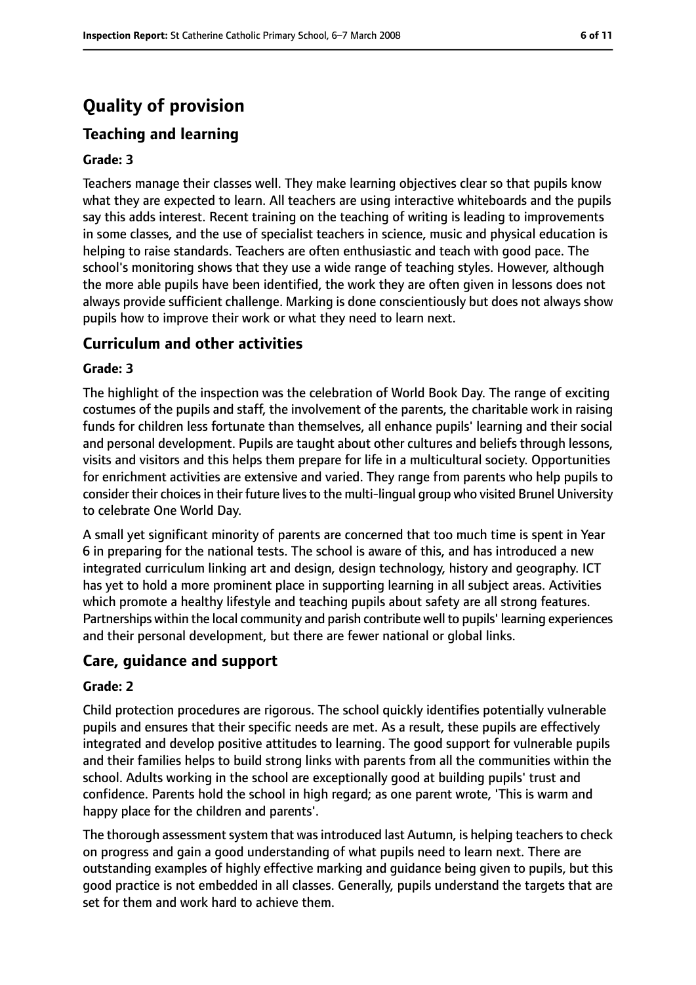# **Quality of provision**

## **Teaching and learning**

#### **Grade: 3**

Teachers manage their classes well. They make learning objectives clear so that pupils know what they are expected to learn. All teachers are using interactive whiteboards and the pupils say this adds interest. Recent training on the teaching of writing is leading to improvements in some classes, and the use of specialist teachers in science, music and physical education is helping to raise standards. Teachers are often enthusiastic and teach with good pace. The school's monitoring shows that they use a wide range of teaching styles. However, although the more able pupils have been identified, the work they are often given in lessons does not always provide sufficient challenge. Marking is done conscientiously but does not always show pupils how to improve their work or what they need to learn next.

### **Curriculum and other activities**

#### **Grade: 3**

The highlight of the inspection was the celebration of World Book Day. The range of exciting costumes of the pupils and staff, the involvement of the parents, the charitable work in raising funds for children less fortunate than themselves, all enhance pupils' learning and their social and personal development. Pupils are taught about other cultures and beliefs through lessons, visits and visitors and this helps them prepare for life in a multicultural society. Opportunities for enrichment activities are extensive and varied. They range from parents who help pupils to consider their choices in their future lives to the multi-lingual group who visited Brunel University to celebrate One World Day.

A small yet significant minority of parents are concerned that too much time is spent in Year 6 in preparing for the national tests. The school is aware of this, and has introduced a new integrated curriculum linking art and design, design technology, history and geography. ICT has yet to hold a more prominent place in supporting learning in all subject areas. Activities which promote a healthy lifestyle and teaching pupils about safety are all strong features. Partnerships within the local community and parish contribute well to pupils' learning experiences and their personal development, but there are fewer national or global links.

#### **Care, guidance and support**

#### **Grade: 2**

Child protection procedures are rigorous. The school quickly identifies potentially vulnerable pupils and ensures that their specific needs are met. As a result, these pupils are effectively integrated and develop positive attitudes to learning. The good support for vulnerable pupils and their families helps to build strong links with parents from all the communities within the school. Adults working in the school are exceptionally good at building pupils' trust and confidence. Parents hold the school in high regard; as one parent wrote, 'This is warm and happy place for the children and parents'.

The thorough assessment system that was introduced last Autumn, is helping teachers to check on progress and gain a good understanding of what pupils need to learn next. There are outstanding examples of highly effective marking and guidance being given to pupils, but this good practice is not embedded in all classes. Generally, pupils understand the targets that are set for them and work hard to achieve them.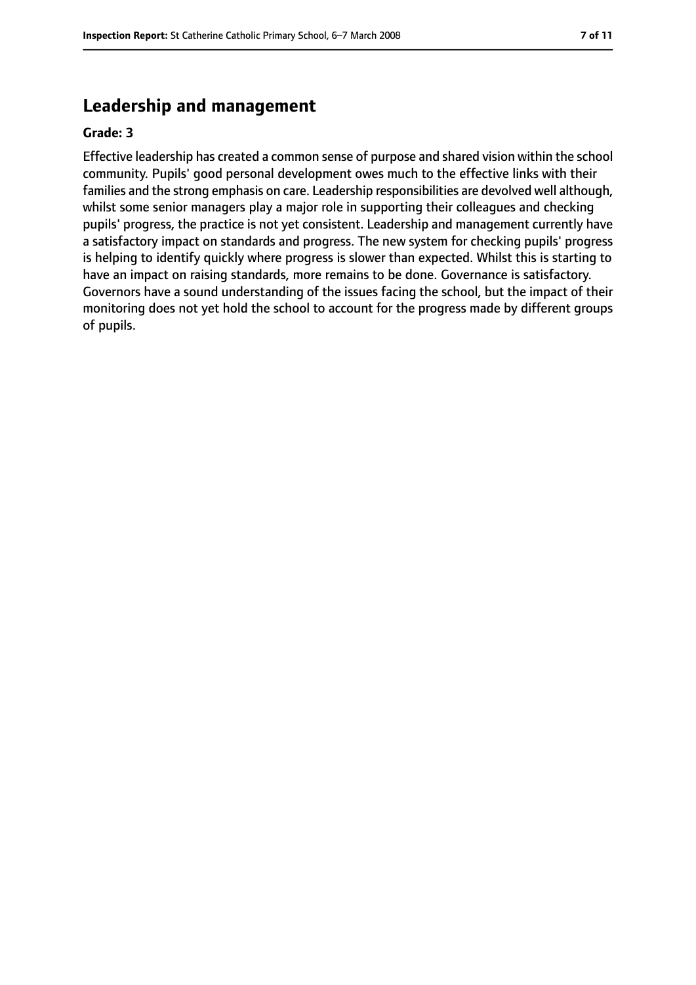# **Leadership and management**

#### **Grade: 3**

Effective leadership has created a common sense of purpose and shared vision within the school community. Pupils' good personal development owes much to the effective links with their families and the strong emphasis on care. Leadership responsibilities are devolved well although, whilst some senior managers play a major role in supporting their colleagues and checking pupils' progress, the practice is not yet consistent. Leadership and management currently have a satisfactory impact on standards and progress. The new system for checking pupils' progress is helping to identify quickly where progress is slower than expected. Whilst this is starting to have an impact on raising standards, more remains to be done. Governance is satisfactory. Governors have a sound understanding of the issues facing the school, but the impact of their monitoring does not yet hold the school to account for the progress made by different groups of pupils.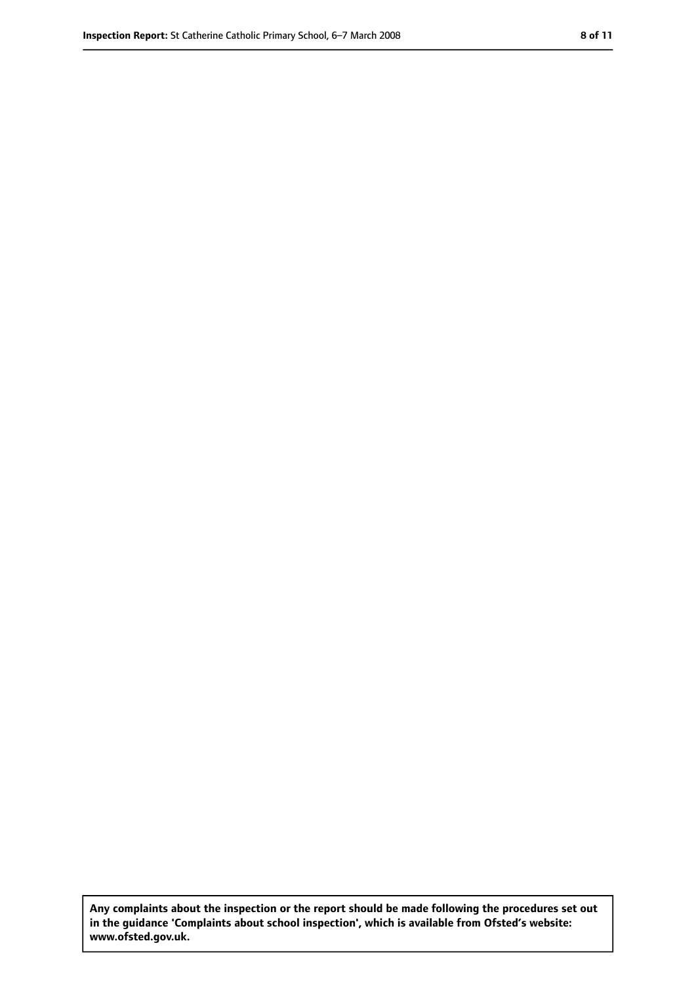**Any complaints about the inspection or the report should be made following the procedures set out in the guidance 'Complaints about school inspection', which is available from Ofsted's website: www.ofsted.gov.uk.**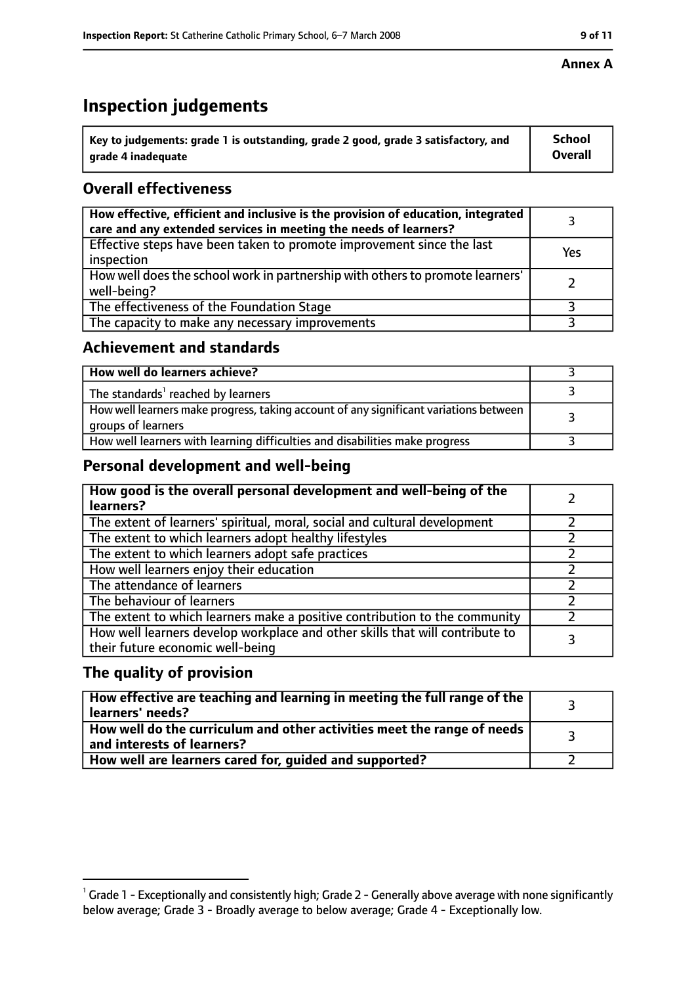# **Inspection judgements**

| $^{\backprime}$ Key to judgements: grade 1 is outstanding, grade 2 good, grade 3 satisfactory, and | <b>School</b>  |
|----------------------------------------------------------------------------------------------------|----------------|
| arade 4 inadequate                                                                                 | <b>Overall</b> |

## **Overall effectiveness**

| How effective, efficient and inclusive is the provision of education, integrated<br>care and any extended services in meeting the needs of learners? |     |
|------------------------------------------------------------------------------------------------------------------------------------------------------|-----|
| Effective steps have been taken to promote improvement since the last<br>inspection                                                                  | Yes |
| How well does the school work in partnership with others to promote learners'<br>well-being?                                                         |     |
| The effectiveness of the Foundation Stage                                                                                                            |     |
| The capacity to make any necessary improvements                                                                                                      |     |

## **Achievement and standards**

| How well do learners achieve?                                                                               |  |
|-------------------------------------------------------------------------------------------------------------|--|
| The standards <sup>1</sup> reached by learners                                                              |  |
| How well learners make progress, taking account of any significant variations between<br>groups of learners |  |
| How well learners with learning difficulties and disabilities make progress                                 |  |

## **Personal development and well-being**

| How good is the overall personal development and well-being of the<br>learners?                                  |  |
|------------------------------------------------------------------------------------------------------------------|--|
| The extent of learners' spiritual, moral, social and cultural development                                        |  |
| The extent to which learners adopt healthy lifestyles                                                            |  |
| The extent to which learners adopt safe practices                                                                |  |
| How well learners enjoy their education                                                                          |  |
| The attendance of learners                                                                                       |  |
| The behaviour of learners                                                                                        |  |
| The extent to which learners make a positive contribution to the community                                       |  |
| How well learners develop workplace and other skills that will contribute to<br>their future economic well-being |  |

## **The quality of provision**

| How effective are teaching and learning in meeting the full range of the<br>learners' needs?          |  |
|-------------------------------------------------------------------------------------------------------|--|
| How well do the curriculum and other activities meet the range of needs<br>and interests of learners? |  |
| How well are learners cared for, guided and supported?                                                |  |

 $^1$  Grade 1 - Exceptionally and consistently high; Grade 2 - Generally above average with none significantly below average; Grade 3 - Broadly average to below average; Grade 4 - Exceptionally low.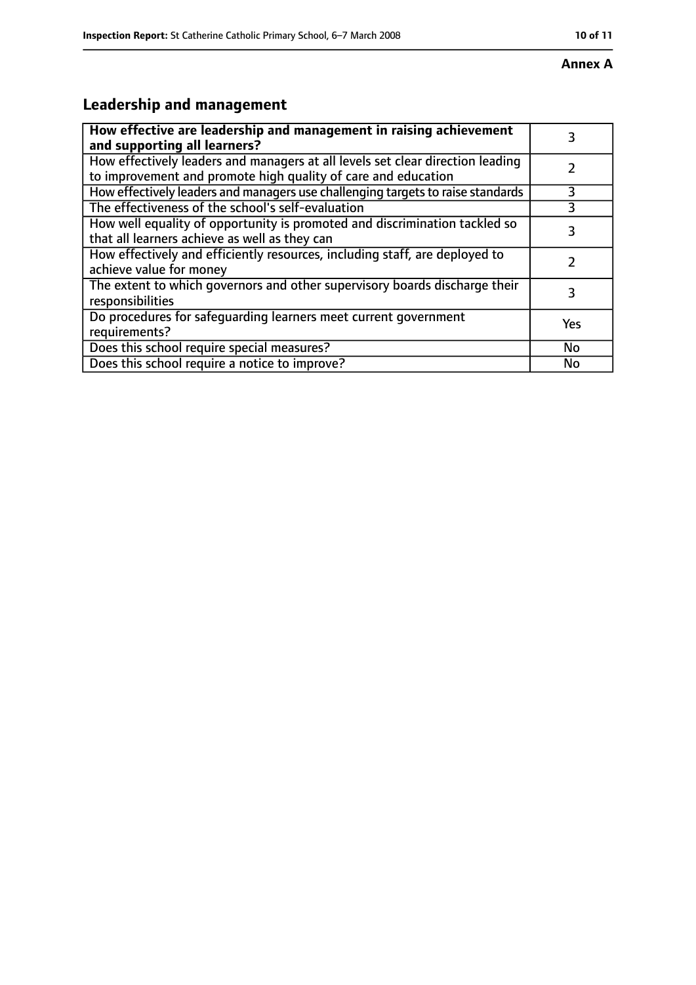#### **Annex A**

# **Leadership and management**

| How effective are leadership and management in raising achievement<br>and supporting all learners?                                              | 3         |
|-------------------------------------------------------------------------------------------------------------------------------------------------|-----------|
| How effectively leaders and managers at all levels set clear direction leading<br>to improvement and promote high quality of care and education |           |
| How effectively leaders and managers use challenging targets to raise standards                                                                 | 3         |
| The effectiveness of the school's self-evaluation                                                                                               | 3         |
| How well equality of opportunity is promoted and discrimination tackled so<br>that all learners achieve as well as they can                     | 3         |
| How effectively and efficiently resources, including staff, are deployed to<br>achieve value for money                                          |           |
| The extent to which governors and other supervisory boards discharge their<br>responsibilities                                                  | 3         |
| Do procedures for safequarding learners meet current government<br>requirements?                                                                | Yes       |
| Does this school require special measures?                                                                                                      | <b>No</b> |
| Does this school require a notice to improve?                                                                                                   | No        |